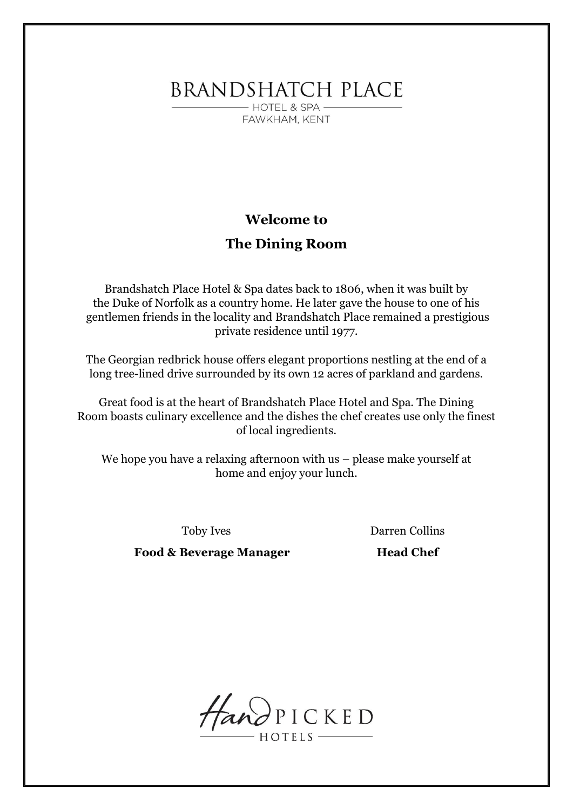**BRANDSHATCH PLACE** 

- HOTEL & SPA -FAWKHAM, KENT

# **Welcome to**

# **The Dining Room**

Brandshatch Place Hotel & Spa dates back to 1806, when it was built by the Duke of Norfolk as a country home. He later gave the house to one of his gentlemen friends in the locality and Brandshatch Place remained a prestigious private residence until 1977.

The Georgian redbrick house offers elegant proportions nestling at the end of a long tree-lined drive surrounded by its own 12 acres of parkland and gardens.

Great food is at the heart of Brandshatch Place Hotel and Spa. The Dining Room boasts culinary excellence and the dishes the chef creates use only the finest of local ingredients.

We hope you have a relaxing afternoon with us – please make yourself at home and enjoy your lunch.

Toby Ives Darren Collins

**Food & Beverage Manager Head Chef** 

HandPICKED